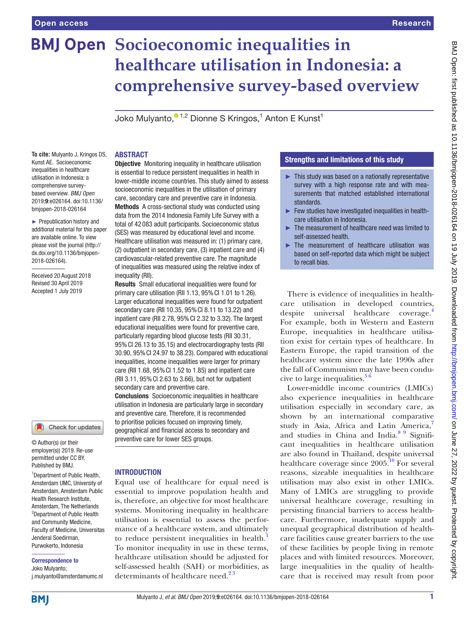# **BMJ Open Socioeconomic inequalities in healthcare utilisation in Indonesia: a comprehensive survey-based overview**

Joko Mulyanto, $^{\circ}$ <sup>1,2</sup> Dionne S Kringos,<sup>1</sup> Anton E Kunst<sup>1</sup>

**To cite:** Mulyanto J, Kringos DS, Kunst AE. Socioeconomic inequalities in healthcare utilisation in Indonesia: a comprehensive surveybased overview. *BMJ Open* 2019;9:e026164. doi:10.1136/ bmjopen-2018-026164

► Prepublication history and additional material for this paper are available online. To view please visit the journal (http:// dx.doi.org/10.1136/bmjopen-2018-026164).

Received 20 August 2018 Revised 30 April 2019 Accepted 1 July 2019



© Author(s) (or their employer(s)) 2019. Re-use permitted under CC BY. Published by BMJ.

<sup>1</sup>Department of Public Health, Amsterdam UMC, University of Amsterdam, Amsterdam Public Health Research Institute, Amsterdam, The Netherlands 2 Department of Public Health and Community Medicine, Faculty of Medicine, Universitas Jenderal Soedirman, Purwokerto, Indonesia

Correspondence to Joko Mulyanto;

j.mulyanto@amsterdamumc.nl

### **ABSTRACT**

**Objective** Monitoring inequality in healthcare utilisation is essential to reduce persistent inequalities in health in lower-middle income countries. This study aimed to assess socioeconomic inequalities in the utilisation of primary care, secondary care and preventive care in Indonesia. Methods A cross-sectional study was conducted using data from the 2014 Indonesia Family Life Survey with a total of 42 083 adult participants. Socioeconomic status (SES) was measured by educational level and income. Healthcare utilisation was measured in: (1) primary care, (2) outpatient in secondary care, (3) inpatient care and (4) cardiovascular-related preventive care. The magnitude of inequalities was measured using the relative index of inequality (RII).

Results Small educational inequalities were found for primary care utilisation (RII 1.13, 95%CI 1.01 to 1.26). Larger educational inequalities were found for outpatient secondary care (RII 10.35, 95%CI 8.11 to 13.22) and inpatient care (RII 2.78, 95%CI 2.32 to 3.32). The largest educational inequalities were found for preventive care, particularly regarding blood glucose tests (RII 30.31, 95%CI 26.13 to 35.15) and electrocardiography tests (RII 30.90, 95%CI 24.97 to 38.23). Compared with educational inequalities, income inequalities were larger for primary care (RII 1.68, 95%CI 1.52 to 1.85) and inpatient care (RII 3.11, 95%CI 2.63 to 3.66), but not for outpatient secondary care and preventive care.

Conclusions Socioeconomic inequalities in healthcare utilisation in Indonesia are particularly large in secondary and preventive care. Therefore, it is recommended to prioritise policies focused on improving timely, geographical and financial access to secondary and preventive care for lower SES groups.

# **INTRODUCTION**

Equal use of healthcare for equal need is essential to improve population health and is, therefore, an objective for most healthcare systems. Monitoring inequality in healthcare utilisation is essential to assess the performance of a healthcare system, and ultimately to reduce persistent inequalities in health.<sup>[1](#page-7-0)</sup> To monitor inequality in use in these terms, healthcare utilisation should be adjusted for self-assessed health (SAH) or morbidities, as determinants of healthcare need.<sup>23</sup>

# Strengths and limitations of this study

- ► This study was based on a nationally representative survey with a high response rate and with measurements that matched established international standards.
- $\blacktriangleright$  Few studies have investigated inequalities in healthcare utilisation in Indonesia.
- ► The measurement of healthcare need was limited to self-assessed health.
- ► The measurement of healthcare utilisation was based on self-reported data which might be subject to recall bias.

There is evidence of inequalities in healthcare utilisation in developed countries, despite universal healthcare coverage.<sup>4</sup> For example, both in Western and Eastern Europe, inequalities in healthcare utilisation exist for certain types of healthcare. In Eastern Europe, the rapid transition of the healthcare system since the late 1990s after the fall of Communism may have been conducive to large inequalities. $56$ 

Lower-middle income countries (LMICs) also experience inequalities in healthcare utilisation especially in secondary care, as shown by an international comparative study in Asia, Africa and Latin America,<sup>7</sup> and studies in China and India.<sup>[8 9](#page-8-1)</sup> Significant inequalities in healthcare utilisation are also found in Thailand, despite universal healthcare coverage since  $2005$ .<sup>10</sup> For several reasons, sizeable inequalities in healthcare utilisation may also exist in other LMICs. Many of LMICs are struggling to provide universal healthcare coverage, resulting in persisting financial barriers to access healthcare. Furthermore, inadequate supply and unequal geographical distribution of healthcare facilities cause greater barriers to the use of these facilities by people living in remote places and with limited resources. Moreover, large inequalities in the quality of healthcare that is received may result from poor

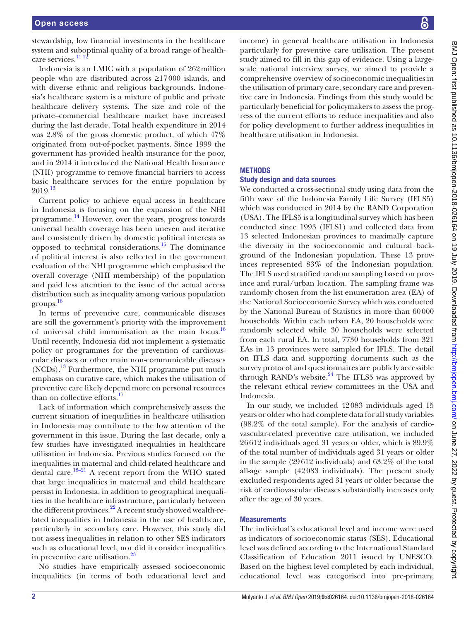stewardship, low financial investments in the healthcare system and suboptimal quality of a broad range of healthcare services.<sup>11 12</sup>

Indonesia is an LMIC with a population of 262million people who are distributed across ≥17000 islands, and with diverse ethnic and religious backgrounds. Indonesia's healthcare system is a mixture of public and private healthcare delivery systems. The size and role of the private–commercial healthcare market have increased during the last decade. Total health expenditure in 2014 was 2.8% of the gross domestic product, of which 47% originated from out-of-pocket payments. Since 1999 the government has provided health insurance for the poor, and in 2014 it introduced the National Health Insurance (NHI) programme to remove financial barriers to access basic healthcare services for the entire population by 2019.[13](#page-8-4)

Current policy to achieve equal access in healthcare in Indonesia is focusing on the expansion of the NHI programme. [14](#page-8-5) However, over the years, progress towards universal health coverage has been uneven and iterative and consistently driven by domestic political interests as opposed to technical considerations.[15](#page-8-6) The dominance of political interest is also reflected in the government evaluation of the NHI programme which emphasised the overall coverage (NHI membership) of the population and paid less attention to the issue of the actual access distribution such as inequality among various population groups. [16](#page-8-7)

In terms of preventive care, communicable diseases are still the government's priority with the improvement of universal child immunisation as the main focus.[16](#page-8-7) Until recently, Indonesia did not implement a systematic policy or programmes for the prevention of cardiovascular diseases or other main non-communicable diseases  $(NCDs).$ <sup>[13](#page-8-4)</sup> Furthermore, the NHI programme put much emphasis on curative care, which makes the utilisation of preventive care likely depend more on personal resources than on collective efforts.<sup>[17](#page-8-8)</sup>

Lack of information which comprehensively assess the current situation of inequalities in healthcare utilisation in Indonesia may contribute to the low attention of the government in this issue. During the last decade, only a few studies have investigated inequalities in healthcare utilisation in Indonesia. Previous studies focused on the inequalities in maternal and child-related healthcare and dental care.<sup>18–21</sup> A recent report from the WHO stated that large inequalities in maternal and child healthcare persist in Indonesia, in addition to geographical inequalities in the healthcare infrastructure, particularly between the different provinces. $^{22}$  A recent study showed wealth-related inequalities in Indonesia in the use of healthcare, particularly in secondary care. However, this study did not assess inequalities in relation to other SES indicators such as educational level, nor did it consider inequalities in preventive care utilisation. $^{23}$  $^{23}$  $^{23}$ 

No studies have empirically assessed socioeconomic inequalities (in terms of both educational level and

income) in general healthcare utilisation in Indonesia particularly for preventive care utilisation. The present study aimed to fill in this gap of evidence. Using a largescale national interview survey, we aimed to provide a comprehensive overview of socioeconomic inequalities in the utilisation of primary care, secondary care and preventive care in Indonesia. Findings from this study would be particularly beneficial for policymakers to assess the progress of the current efforts to reduce inequalities and also for policy development to further address inequalities in healthcare utilisation in Indonesia.

# **METHODS**

# Study design and data sources

We conducted a cross-sectional study using data from the fifth wave of the Indonesia Family Life Survey (IFLS5) which was conducted in 2014 by the RAND Corporation (USA). The IFLS5 is a longitudinal survey which has been conducted since 1993 (IFLS1) and collected data from 13 selected Indonesian provinces to maximally capture the diversity in the socioeconomic and cultural background of the Indonesian population. These 13 provinces represented 83% of the Indonesian population. The IFLS used stratified random sampling based on province and rural/urban location. The sampling frame was randomly chosen from the list enumeration area (EA) of the National Socioeconomic Survey which was conducted by the National Bureau of Statistics in more than 60000 households. Within each urban EA, 20 households were randomly selected while 30 households were selected from each rural EA. In total, 7730 households from 321 EAs in 13 provinces were sampled for IFLS. The detail on IFLS data and supporting documents such as the survey protocol and questionnaires are publicly accessible through RAND's website. $24$  The IFLS5 was approved by the relevant ethical review committees in the USA and Indonesia.

In our study, we included 42083 individuals aged 15 years or older who had complete data for all study variables (98.2% of the total sample). For the analysis of cardiovascular-related preventive care utilisation, we included 26612 individuals aged 31 years or older, which is 89.9% of the total number of individuals aged 31 years or older in the sample (29612 individuals) and 63.2% of the total all-age sample (42083 individuals). The present study excluded respondents aged 31 years or older because the risk of cardiovascular diseases substantially increases only after the age of 30 years.

# **Measurements**

The individual's educational level and income were used as indicators of socioeconomic status (SES). Educational level was defined according to the International Standard Classification of Education 2011 issued by UNESCO. Based on the highest level completed by each individual, educational level was categorised into pre-primary,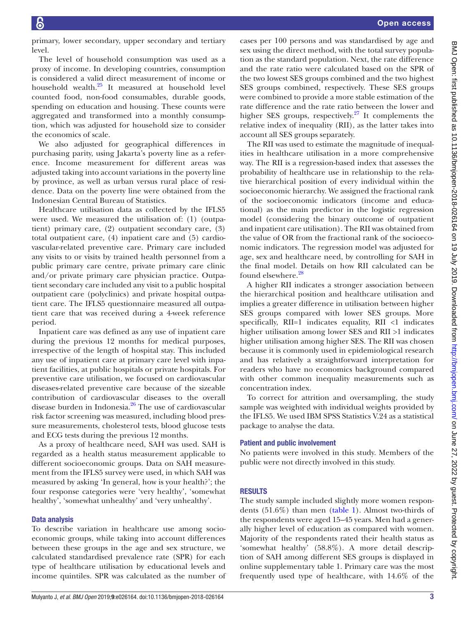primary, lower secondary, upper secondary and tertiary level.

The level of household consumption was used as a proxy of income. In developing countries, consumption is considered a valid direct measurement of income or household wealth[.25](#page-8-13) It measured at household level counted food, non-food consumables, durable goods, spending on education and housing. These counts were aggregated and transformed into a monthly consumption, which was adjusted for household size to consider the economics of scale.

We also adjusted for geographical differences in purchasing parity, using Jakarta's poverty line as a reference. Income measurement for different areas was adjusted taking into account variations in the poverty line by province, as well as urban versus rural place of residence. Data on the poverty line were obtained from the Indonesian Central Bureau of Statistics.

Healthcare utilisation data as collected by the IFLS5 were used. We measured the utilisation of: (1) (outpatient) primary care, (2) outpatient secondary care, (3) total outpatient care, (4) inpatient care and (5) cardiovascular-related preventive care. Primary care included any visits to or visits by trained health personnel from a public primary care centre, private primary care clinic and/or private primary care physician practice. Outpatient secondary care included any visit to a public hospital outpatient care (polyclinics) and private hospital outpatient care. The IFLS5 questionnaire measured all outpatient care that was received during a 4-week reference period.

Inpatient care was defined as any use of inpatient care during the previous 12 months for medical purposes, irrespective of the length of hospital stay. This included any use of inpatient care at primary care level with inpatient facilities, at public hospitals or private hospitals. For preventive care utilisation, we focused on cardiovascular diseases-related preventive care because of the sizeable contribution of cardiovascular diseases to the overall disease burden in Indonesia.<sup>26</sup> The use of cardiovascular risk factor screening was measured, including blood pressure measurements, cholesterol tests, blood glucose tests and ECG tests during the previous 12 months.

As a proxy of healthcare need, SAH was used. SAH is regarded as a health status measurement applicable to different socioeconomic groups. Data on SAH measurement from the IFLS5 survey were used, in which SAH was measured by asking 'In general, how is your health?'; the four response categories were 'very healthy', 'somewhat healthy', 'somewhat unhealthy' and 'very unhealthy'.

# Data analysis

To describe variation in healthcare use among socioeconomic groups, while taking into account differences between these groups in the age and sex structure, we calculated standardised prevalence rate (SPR) for each type of healthcare utilisation by educational levels and income quintiles. SPR was calculated as the number of

cases per 100 persons and was standardised by age and sex using the direct method, with the total survey population as the standard population. Next, the rate difference and the rate ratio were calculated based on the SPR of the two lowest SES groups combined and the two highest SES groups combined, respectively. These SES groups were combined to provide a more stable estimation of the rate difference and the rate ratio between the lower and higher SES groups, respectively.<sup>27</sup> It complements the relative index of inequality (RII), as the latter takes into account all SES groups separately.

The RII was used to estimate the magnitude of inequalities in healthcare utilisation in a more comprehensive way. The RII is a regression-based index that assesses the probability of healthcare use in relationship to the relative hierarchical position of every individual within the socioeconomic hierarchy. We assigned the fractional rank of the socioeconomic indicators (income and educational) as the main predictor in the logistic regression model (considering the binary outcome of outpatient and inpatient care utilisation). The RII was obtained from the value of OR from the fractional rank of the socioeconomic indicators. The regression model was adjusted for age, sex and healthcare need, by controlling for SAH in the final model. Details on how RII calculated can be found elsewhere.<sup>[28](#page-8-16)</sup>

A higher RII indicates a stronger association between the hierarchical position and healthcare utilisation and implies a greater difference in utilisation between higher SES groups compared with lower SES groups. More specifically,  $RII=1$  indicates equality,  $RII < 1$  indicates higher utilisation among lower SES and RII >1 indicates higher utilisation among higher SES. The RII was chosen because it is commonly used in epidemiological research and has relatively a straightforward interpretation for readers who have no economics background compared with other common inequality measurements such as concentration index.

To correct for attrition and oversampling, the study sample was weighted with individual weights provided by the IFLS5. We used IBM SPSS Statistics V.24 as a statistical package to analyse the data.

### Patient and public involvement

No patients were involved in this study. Members of the public were not directly involved in this study.

# **RESULTS**

The study sample included slightly more women respondents (51.6%) than men ([table](#page-3-0) 1). Almost two-thirds of the respondents were aged 15–45 years. Men had a generally higher level of education as compared with women. Majority of the respondents rated their health status as 'somewhat healthy' (58.8%). A more detail description of SAH among different SES groups is displayed in online [supplementary table 1](https://dx.doi.org/10.1136/bmjopen-2018-026164). Primary care was the most frequently used type of healthcare, with 14.6% of the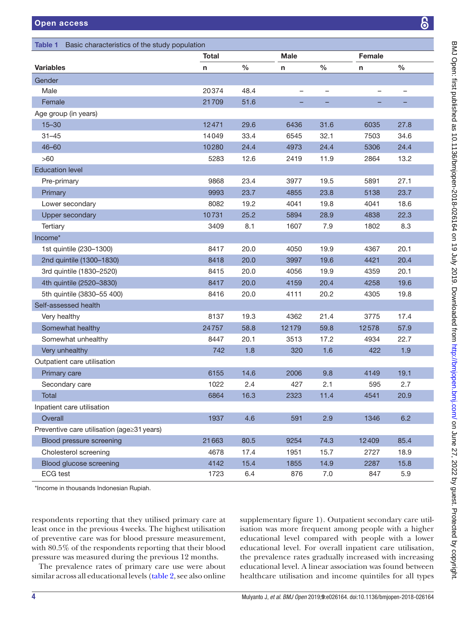<span id="page-3-0"></span>

| Basic characteristics of the study population<br>Table 1 |              |      |             |                   |        |                   |  |
|----------------------------------------------------------|--------------|------|-------------|-------------------|--------|-------------------|--|
|                                                          | <b>Total</b> |      | <b>Male</b> |                   | Female |                   |  |
| <b>Variables</b>                                         | n            | $\%$ | n           | $\%$              | n      | $\%$              |  |
| Gender                                                   |              |      |             |                   |        |                   |  |
| Male                                                     | 20374        | 48.4 | -           | $\qquad \qquad -$ |        | $\qquad \qquad -$ |  |
| Female                                                   | 21709        | 51.6 |             |                   |        |                   |  |
| Age group (in years)                                     |              |      |             |                   |        |                   |  |
| $15 - 30$                                                | 12471        | 29.6 | 6436        | 31.6              | 6035   | 27.8              |  |
| $31 - 45$                                                | 14049        | 33.4 | 6545        | 32.1              | 7503   | 34.6              |  |
| $46 - 60$                                                | 10280        | 24.4 | 4973        | 24.4              | 5306   | 24.4              |  |
| >60                                                      | 5283         | 12.6 | 2419        | 11.9              | 2864   | 13.2              |  |
| <b>Education level</b>                                   |              |      |             |                   |        |                   |  |
| Pre-primary                                              | 9868         | 23.4 | 3977        | 19.5              | 5891   | 27.1              |  |
| Primary                                                  | 9993         | 23.7 | 4855        | 23.8              | 5138   | 23.7              |  |
| Lower secondary                                          | 8082         | 19.2 | 4041        | 19.8              | 4041   | 18.6              |  |
| <b>Upper secondary</b>                                   | 10731        | 25.2 | 5894        | 28.9              | 4838   | 22.3              |  |
| Tertiary                                                 | 3409         | 8.1  | 1607        | 7.9               | 1802   | 8.3               |  |
| Income*                                                  |              |      |             |                   |        |                   |  |
| 1st quintile (230-1300)                                  | 8417         | 20.0 | 4050        | 19.9              | 4367   | 20.1              |  |
| 2nd quintile (1300-1830)                                 | 8418         | 20.0 | 3997        | 19.6              | 4421   | 20.4              |  |
| 3rd quintile (1830-2520)                                 | 8415         | 20.0 | 4056        | 19.9              | 4359   | 20.1              |  |
| 4th quintile (2520-3830)                                 | 8417         | 20.0 | 4159        | 20.4              | 4258   | 19.6              |  |
| 5th quintile (3830-55 400)                               | 8416         | 20.0 | 4111        | 20.2              | 4305   | 19.8              |  |
| Self-assessed health                                     |              |      |             |                   |        |                   |  |
| Very healthy                                             | 8137         | 19.3 | 4362        | 21.4              | 3775   | 17.4              |  |
| Somewhat healthy                                         | 24757        | 58.8 | 12179       | 59.8              | 12578  | 57.9              |  |
| Somewhat unhealthy                                       | 8447         | 20.1 | 3513        | 17.2              | 4934   | 22.7              |  |
| Very unhealthy                                           | 742          | 1.8  | 320         | 1.6               | 422    | 1.9               |  |
| Outpatient care utilisation                              |              |      |             |                   |        |                   |  |
| Primary care                                             | 6155         | 14.6 | 2006        | 9.8               | 4149   | 19.1              |  |
| Secondary care                                           | 1022         | 2.4  | 427         | 2.1               | 595    | 2.7               |  |
| Total                                                    | 6864         | 16.3 | 2323        | 11.4              | 4541   | 20.9              |  |
| Inpatient care utilisation                               |              |      |             |                   |        |                   |  |
| Overall                                                  | 1937         | 4.6  | 591         | 2.9               | 1346   | 6.2               |  |
| Preventive care utilisation (age≥31 years)               |              |      |             |                   |        |                   |  |
| Blood pressure screening                                 | 21663        | 80.5 | 9254        | 74.3              | 12409  | 85.4              |  |
| Cholesterol screening                                    | 4678         | 17.4 | 1951        | 15.7              | 2727   | 18.9              |  |
| Blood glucose screening                                  | 4142         | 15.4 | 1855        | 14.9              | 2287   | 15.8              |  |
| <b>ECG</b> test                                          | 1723         | 6.4  | 876         | 7.0               | 847    | 5.9               |  |

\*Income in thousands Indonesian Rupiah.

respondents reporting that they utilised primary care at least once in the previous 4weeks. The highest utilisation of preventive care was for blood pressure measurement, with 80.5% of the respondents reporting that their blood pressure was measured during the previous 12 months.

The prevalence rates of primary care use were about similar across all educational levels ([table](#page-4-0) 2, see also online

[supplementary figure 1\)](https://dx.doi.org/10.1136/bmjopen-2018-026164). Outpatient secondary care utilisation was more frequent among people with a higher educational level compared with people with a lower educational level. For overall inpatient care utilisation, the prevalence rates gradually increased with increasing educational level. A linear association was found between healthcare utilisation and income quintiles for all types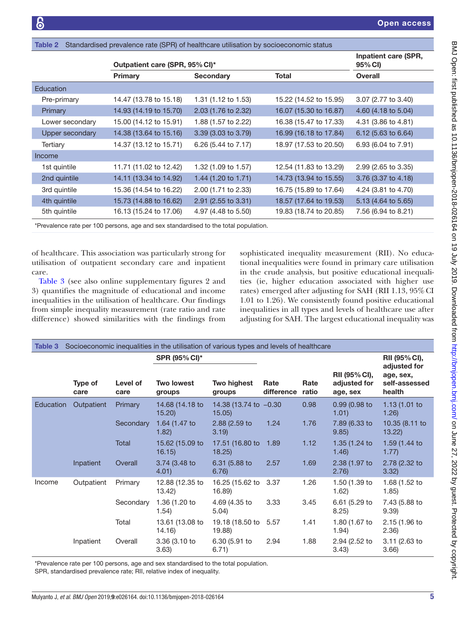|                        | $\frac{1}{2}$ . The complete provision of the form of the complete dimension by oppropriating diality |                     |                        |                                 |
|------------------------|-------------------------------------------------------------------------------------------------------|---------------------|------------------------|---------------------------------|
|                        | Outpatient care (SPR, 95% CI)*                                                                        |                     |                        | Inpatient care (SPR,<br>95% CI) |
|                        | Primary                                                                                               | <b>Secondary</b>    | Total                  | <b>Overall</b>                  |
| Education              |                                                                                                       |                     |                        |                                 |
| Pre-primary            | 14.47 (13.78 to 15.18)                                                                                | 1.31 (1.12 to 1.53) | 15.22 (14.52 to 15.95) | 3.07 (2.77 to 3.40)             |
| Primary                | 14.93 (14.19 to 15.70)                                                                                | 2.03 (1.76 to 2.32) | 16.07 (15.30 to 16.87) | 4.60 (4.18 to 5.04)             |
| Lower secondary        | 15.00 (14.12 to 15.91)                                                                                | 1.88 (1.57 to 2.22) | 16.38 (15.47 to 17.33) | 4.31 (3.86 to 4.81)             |
| <b>Upper secondary</b> | 14.38 (13.64 to 15.16)                                                                                | 3.39 (3.03 to 3.79) | 16.99 (16.18 to 17.84) | 6.12 (5.63 to 6.64)             |
| Tertiary               | 14.37 (13.12 to 15.71)                                                                                | 6.26 (5.44 to 7.17) | 18.97 (17.53 to 20.50) | 6.93 (6.04 to 7.91)             |
| Income                 |                                                                                                       |                     |                        |                                 |
| 1st quintile           | 11.71 (11.02 to 12.42)                                                                                | 1.32 (1.09 to 1.57) | 12.54 (11.83 to 13.29) | 2.99 (2.65 to 3.35)             |
| 2nd quintile           | 14.11 (13.34 to 14.92)                                                                                | 1.44 (1.20 to 1.71) | 14.73 (13.94 to 15.55) | 3.76 (3.37 to 4.18)             |
| 3rd quintile           | 15.36 (14.54 to 16.22)                                                                                | 2.00 (1.71 to 2.33) | 16.75 (15.89 to 17.64) | 4.24 (3.81 to 4.70)             |
| 4th quintile           | 15.73 (14.88 to 16.62)                                                                                | 2.91 (2.55 to 3.31) | 18.57 (17.64 to 19.53) | 5.13 (4.64 to 5.65)             |
| 5th quintile           | 16.13 (15.24 to 17.06)                                                                                | 4.97 (4.48 to 5.50) | 19.83 (18.74 to 20.85) | 7.56 (6.94 to 8.21)             |

\*Prevalence rate per 100 persons, age and sex standardised to the total population.

<span id="page-4-0"></span>Table 2 Standardised prevalence rate (SPR) of healthcare utilisation by socioeconomic status

of healthcare. This association was particularly strong for utilisation of outpatient secondary care and inpatient care.

[Table](#page-4-1) 3 (see also online [supplementary figures 2 and](https://dx.doi.org/10.1136/bmjopen-2018-026164) [3\)](https://dx.doi.org/10.1136/bmjopen-2018-026164) quantifies the magnitude of educational and income inequalities in the utilisation of healthcare. Our findings from simple inequality measurement (rate ratio and rate difference) showed similarities with the findings from sophisticated inequality measurement (RII). No educational inequalities were found in primary care utilisation in the crude analysis, but positive educational inequalities (ie, higher education associated with higher use rates) emerged after adjusting for SAH (RII 1.13, 95% CI 1.01 to 1.26). We consistently found positive educational inequalities in all types and levels of healthcare use after adjusting for SAH. The largest educational inequality was

<span id="page-4-1"></span>

| Table 3   |                 |                  | Socioeconomic inequalities in the utilisation of various types and levels of healthcare |                                  |                    |               |                                           |                                                      |
|-----------|-----------------|------------------|-----------------------------------------------------------------------------------------|----------------------------------|--------------------|---------------|-------------------------------------------|------------------------------------------------------|
|           |                 |                  | SPR (95% CI)*                                                                           |                                  |                    |               |                                           | RII (95% CI),                                        |
|           | Type of<br>care | Level of<br>care | <b>Two lowest</b><br>groups                                                             | Two highest<br>groups            | Rate<br>difference | Rate<br>ratio | RII (95% CI),<br>adjusted for<br>age, sex | adjusted for<br>age, sex,<br>self-assessed<br>health |
| Education | Outpatient      | Primary          | 14.68 (14.18 to<br>15.20                                                                | 14.38 (13.74 to -0.30)<br>15.05) |                    | 0.98          | 0.99 (0.98 to<br>1.01)                    | 1.13 $(1.01)$ to<br>1.26)                            |
|           |                 | Secondary        | 1.64 (1.47 to<br>1.82)                                                                  | 2.88 (2.59 to<br>3.19            | 1.24               | 1.76          | 7.89 (6.33 to<br>9.85                     | 10.35 (8.11 to<br>13.22                              |
|           |                 | Total            | 15.62 (15.09 to<br>16.15)                                                               | 17.51 (16.80 to<br>18.25         | 1.89               | 1.12          | 1.35 (1.24 to<br>1.46)                    | 1.59 (1.44 to<br>1.77)                               |
|           | Inpatient       | Overall          | 3.74 (3.48 to<br>4.01)                                                                  | 6.31 (5.88 to<br>6.76)           | 2.57               | 1.69          | 2.38 (1.97 to<br>2.76)                    | 2.78 (2.32 to<br>3.32)                               |
| Income    | Outpatient      | Primary          | 12.88 (12.35 to<br>13.42)                                                               | 16.25 (15.62 to<br>16.89)        | 3.37               | 1.26          | 1.50 (1.39 to<br>1.62)                    | 1.68 (1.52 to<br>1.85)                               |
|           |                 | Secondary        | 1.36 (1.20 to<br>1.54)                                                                  | 4.69 (4.35 to<br>5.04)           | 3.33               | 3.45          | 6.61 (5.29 to<br>8.25)                    | 7.43 (5.88 to<br>9.39)                               |
|           |                 | Total            | 13.61 (13.08 to<br>14.16)                                                               | 19.18 (18.50 to 5.57<br>19.88)   |                    | 1.41          | 1.80 (1.67 to<br>1.94)                    | 2.15 (1.96 to<br>(2.36)                              |
|           | Inpatient       | Overall          | 3.36 (3.10 to<br>3.63)                                                                  | 6.30 (5.91 to<br>6.71)           | 2.94               | 1.88          | 2.94 (2.52 to<br>3.43)                    | 3.11 (2.63 to<br>3.66                                |

\*Prevalence rate per 100 persons, age and sex standardised to the total population.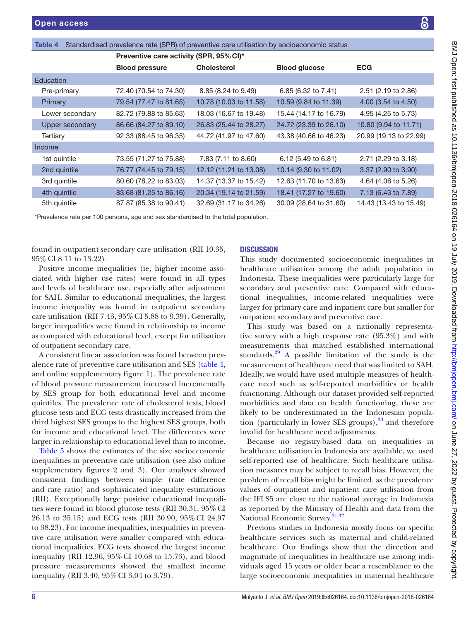|                            | ة<br>ا                   |
|----------------------------|--------------------------|
|                            |                          |
|                            |                          |
|                            |                          |
|                            |                          |
|                            |                          |
|                            |                          |
|                            |                          |
|                            |                          |
|                            |                          |
|                            | ミミミニ                     |
|                            |                          |
|                            |                          |
|                            |                          |
|                            |                          |
|                            |                          |
|                            |                          |
|                            |                          |
|                            |                          |
|                            |                          |
|                            |                          |
|                            |                          |
|                            |                          |
|                            |                          |
|                            | $\frac{1}{3}$            |
|                            |                          |
|                            |                          |
| in<br>in<br>a-             |                          |
|                            |                          |
|                            |                          |
|                            |                          |
|                            |                          |
| re<br>or                   |                          |
|                            |                          |
|                            |                          |
|                            | ì                        |
| a-<br>:h<br>al<br>1.<br>H. | ;                        |
|                            |                          |
|                            |                          |
|                            |                          |
|                            |                          |
|                            |                          |
|                            |                          |
| $\hbar$                    |                          |
| $\mathbf{d}$               |                          |
|                            |                          |
| re<br>a                    |                          |
|                            |                          |
| ľ<br>ć                     |                          |
|                            |                          |
| $\overline{\mathbf{n}}$    |                          |
|                            | $\overline{\phantom{a}}$ |
| $\mathbf{d}$               | I                        |
| $\mathbf{a}$               | I                        |
| $\mathbf{e}$               | i                        |
|                            |                          |
| e                          |                          |
| m<br>ia                    | Ś                        |
|                            |                          |
| ı                          |                          |
|                            |                          |
|                            |                          |
|                            |                          |
|                            |                          |
| ic<br>ed<br>ıd             |                          |
|                            |                          |
| li<br>16<br>re             |                          |
|                            |                          |
|                            |                          |

<span id="page-5-0"></span>

| Table 4                | Standardised prevalence rate (SPR) of preventive care utilisation by socioeconomic status |                        |                        |                        |
|------------------------|-------------------------------------------------------------------------------------------|------------------------|------------------------|------------------------|
|                        | Preventive care activity (SPR, 95% CI)*                                                   |                        |                        |                        |
|                        | <b>Blood pressure</b>                                                                     | <b>Cholesterol</b>     | <b>Blood glucose</b>   | <b>ECG</b>             |
| Education              |                                                                                           |                        |                        |                        |
| Pre-primary            | 72.40 (70.54 to 74.30)                                                                    | 8.85 (8.24 to 9.49)    | 6.85 (6.32 to 7.41)    | 2.51 (2.19 to 2.86)    |
| Primary                | 79.54 (77.47 to 81.65)                                                                    | 10.78 (10.03 to 11.58) | 10.59 (9.84 to 11.39)  | 4.00 (3.54 to 4.50)    |
| Lower secondary        | 82.72 (79.88 to 85.63)                                                                    | 18.03 (16.67 to 19.48) | 15.44 (14.17 to 16.79) | 4.95 (4.25 to 5.73)    |
| <b>Upper secondary</b> | 86.66 (84.27 to 89.10)                                                                    | 26.83 (25.44 to 28.27) | 24.72 (23.39 to 26.10) | 10.80 (9.94 to 11.71)  |
| Tertiary               | 92.33 (88.45 to 96.35)                                                                    | 44.72 (41.97 to 47.60) | 43.38 (40.66 to 46.23) | 20.99 (19.13 to 22.99) |
| Income                 |                                                                                           |                        |                        |                        |
| 1st quintile           | 73.55 (71.27 to 75.88)                                                                    | 7.83 (7.11 to 8.60)    | 6.12 (5.49 to 6.81)    | 2.71 (2.29 to 3.18)    |
| 2nd quintile           | 76.77 (74.45 to 79.15)                                                                    | 12.12 (11.21 to 13.08) | 10.14 (9.30 to 11.02)  | 3.37 (2.90 to 3.90)    |
| 3rd quintile           | 80.60 (78.22 to 83.03)                                                                    | 14.37 (13.37 to 15.42) | 12.63 (11.70 to 13.63) | 4.64 (4.08 to 5.26)    |
| 4th quintile           | 83.68 (81.25 to 86.16)                                                                    | 20.34 (19.14 to 21.59) | 18.41 (17.27 to 19.60) | 7.13 (6.43 to 7.89)    |
| 5th quintile           | 87.87 (85.38 to 90.41)                                                                    | 32.69 (31.17 to 34.26) | 30.09 (28.64 to 31.60) | 14.43 (13.43 to 15.49) |

\*Prevalence rate per 100 persons, age and sex standardised to the total population.

found in outpatient secondary care utilisation (RII 10.35, 95%CI 8.11 to 13.22).

Positive income inequalities (ie, higher income associated with higher use rates) were found in all types and levels of healthcare use, especially after adjustment for SAH. Similar to educational inequalities, the largest income inequality was found in outpatient secondary care utilisation (RII 7.43, 95%CI 5.88 to 9.39). Generally, larger inequalities were found in relationship to income as compared with educational level, except for utilisation of outpatient secondary care.

A consistent linear association was found between prevalence rate of preventive care utilisation and SES ([table](#page-5-0) 4, and online [supplementary figure 1\)](https://dx.doi.org/10.1136/bmjopen-2018-026164). The prevalence rate of blood pressure measurement increased incrementally by SES group for both educational level and income quintiles. The prevalence rate of cholesterol tests, blood glucose tests and ECG tests drastically increased from the third highest SES groups to the highest SES groups, both for income and educational level. The differences were larger in relationship to educational level than to income.

[Table](#page-6-0) 5 shows the estimates of the size socioeconomic inequalities in preventive care utilisation (see also online [supplementary figures 2 and 3](https://dx.doi.org/10.1136/bmjopen-2018-026164)). Our analyses showed consistent findings between simple (rate difference and rate ratio) and sophisticated inequality estimations (RII). Exceptionally large positive educational inequalities were found in blood glucose tests (RII 30.31, 95%CI 26.13 to 35.15) and ECG tests (RII 30.90, 95%CI 24.97 to 38.23). For income inequalities, inequalities in preventive care utilisation were smaller compared with educational inequalities. ECG tests showed the largest income inequality (RII 12.96, 95%CI 10.68 to 15.73), and blood pressure measurements showed the smallest income inequality (RII 3.40, 95%CI 3.04 to 3.79).

# **DISCUSSION**

This study documented socioeconomic inequalities in healthcare utilisation among the adult population i Indonesia. These inequalities were particularly large for secondary and preventive care. Compared with educ tional inequalities, income-related inequalities were larger for primary care and inpatient care but smaller for outpatient secondary and preventive care.

This study was based on a nationally represent tive survey with a high response rate  $(95.3\%)$  and with measurements that matched established international standards.<sup>29</sup> A possible limitation of the study is the measurement of healthcare need that was limited to SAH. Ideally, we would have used multiple measures of health care need such as self-reported morbidities or health functioning. Although our dataset provided self-reported morbidities and data on health functioning, these are likely to be underestimated in the Indonesian popul tion (particularly in lower SES groups), $30$  and therefore invalid for healthcare need adjustments.

Because no registry-based data on inequalities in healthcare utilisation in Indonesia are available, we use self-reported use of healthcare. Such healthcare utilis tion measures may be subject to recall bias. However, th problem of recall bias might be limited, as the prevalence values of outpatient and inpatient care utilisation from the IFLS5 are close to the national average in Indonesia as reported by the Ministry of Health and data from the National Economic Survey.<sup>31</sup> <sup>32</sup>

Previous studies in Indonesia mostly focus on specific healthcare services such as maternal and child-related healthcare. Our findings show that the direction and magnitude of inequalities in healthcare use among individuals aged 15 years or older bear a resemblance to the large socioeconomic inequalities in maternal healthcare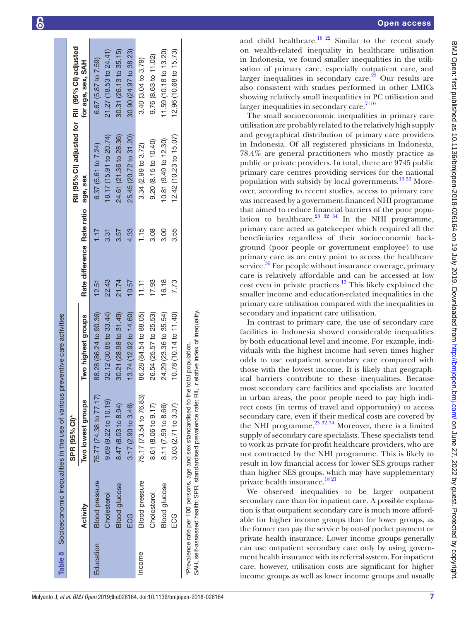|           |                       | Table 5 Socioeconomic inequalities in the use of various                                                                                                                                | preventive care activities |                            |                                                 |                        |
|-----------|-----------------------|-----------------------------------------------------------------------------------------------------------------------------------------------------------------------------------------|----------------------------|----------------------------|-------------------------------------------------|------------------------|
|           |                       | SPR (95% CI)*                                                                                                                                                                           |                            |                            | RII (95% CI) adjusted for RII (95% CI) adjusted |                        |
|           | Activity              | Two lowest groups                                                                                                                                                                       | Two highest groups         | Rate difference Rate ratio | age, sex                                        | for age, sex, SAH      |
| Education | <b>Blood pressure</b> | 75.77 (74.38 to 77.17)                                                                                                                                                                  | 88.28 (86.24 to 90.36)     | 1.17<br>12.51              | 6.37(5.61 to 7.24)                              | 6.67 (5.87 to 7.59)    |
|           | Cholesterol           | $9.69(9.22 \text{ to } 10.19)$                                                                                                                                                          | 32.12 (30.85 to 33.44)     | 3.31<br>22.43              | 18.17 (15.91 to 20.74)                          | 21.27 (18.53 to 24.41) |
|           | <b>Blood</b> glucose  | 8.47 (8.03 to 8.94)                                                                                                                                                                     | 30.21 (28.98 to 31.49)     | 3.57<br>21.74              | 24.61 (21.36 to 28.36)                          | 30.31 (26.13 to 35.15) |
|           | ECG                   | 3.17 (2.90 to 3.46)                                                                                                                                                                     | 13.74 (12.92 to 14.60)     | 4.33<br>10.57              | 25.45 (20.72 to 31.20)                          | 30.90 (24.97 to 38.23) |
| Income    | <b>Blood</b> pressure | 75.17 (73.54 to 76.83)                                                                                                                                                                  | 86.28 (84.54 to 88.05)     | 1.15<br>11.11              | 3.34(2.99 to 3.72)                              | 3.40(3.04 to 3.79)     |
|           | Cholesterol           | 8.61 (8.06 to 9.17)                                                                                                                                                                     | 26.54 (25.57 to 25.53)     | 3.08<br>17.93              | 9.20 (8.15 to 10.40)                            | 9.76 (8.63 to 11.02)   |
|           | <b>Blood</b> glucose  | 8.11 (7.59 to 8.66)                                                                                                                                                                     | 24.29 (23.36 to 35.54)     | $\frac{8}{3}$<br>16.18     | 10.81 (9.49 to 12.30)                           | 11.59 (10.18 to 13.20) |
|           | ECG                   | $3.03(2.71$ to $3.37)$                                                                                                                                                                  | 10.78 (10.14 to 11.40)     | 3.55<br>7.73               | 12.42 (10.23 to 15.07)                          | 12.96 (10.68 to 15.73) |
|           |                       | SAH, self-assessed health; SPR, standardised prevalence rate; RII, r elative index of inequality.<br>Prevalence rate per 100 persons, age and sex standardised to the total population. |                            |                            |                                                 |                        |

 $\overline{1}$ 

and child healthcare.<sup>18 22</sup> Similar to the recent study on wealth-related inequality in healthcare utilisation in Indonesia, we found smaller inequalities in the utili sation of primary care, especially outpatient care, and larger inequalities in secondary care.<sup>[23](#page-8-11)</sup> Our results are also consistent with studies performed in other LMICs showing relatively small inequalities in PC utilisation and larger inequalities in secondary care.<sup>[7–10](#page-8-0)</sup>

The small socioeconomic inequalities in primary care utilisation are probably related to the relatively high supply and geographical distribution of primary care providers in Indonesia. Of all registered physicians in Indonesia, 78.4% are general practitioners who mostly practice as public or private providers. In total, there are 9745 public primary care centres providing services for the national population with subsidy by local governments.<sup>13</sup> 33 Moreover, according to recent studies, access to primary care was increased by a government-financed NHI programme that aimed to reduce financial barriers of the poor popu lation to healthcare. $^{23}$   $^{32}$   $^{34}$  In the NHI programme, primary care acted as gatekeeper which required all the beneficiaries regardless of their socioeconomic background (poor people or government employee) to use primary care as an entry point to access the healthcare service.<sup>35</sup> For people without insurance coverage, primary care is relatively affordable and can be accessed at low cost even in private practices. $13$  This likely explained the smaller income and education-related inequalities in the primary care utilisation compared with the inequalities in secondary and inpatient care utilisation.

In contrast to primary care, the use of secondary care facilities in Indonesia showed considerable inequalities by both educational level and income. For example, indi viduals with the highest income had seven times higher odds to use outpatient secondary care compared with those with the lowest income. It is likely that geograph ical barriers contribute to these inequalities. Because most secondary care facilities and specialists are located in urban areas, the poor people need to pay high indi rect costs (in terms of travel and opportunity) to access secondary care, even if their medical costs are covered by the NHI programme. $^{23}$  32 34 Moreover, there is a limited supply of secondary care specialists. These specialists tend to work as private for-profit healthcare providers, who are not contracted by the NHI programme. This is likely to result in low financial access for lower SES groups rather than higher SES groups, which may have supplementary private health insurance.<sup>[18 21](#page-8-9)</sup>

<span id="page-6-0"></span>We observed inequalities to be larger outpatient secondary care than for inpatient care. A possible explanation is that outpatient secondary care is much more affordable for higher income groups than for lower groups, as the former can pay the service by out-of pocket payment or private health insurance. Lower income groups generally can use outpatient secondary care only by using govern ment health insurance with its referral system. For inpatient care, however, utilisation costs are significant for higher income groups as well as lower income groups and usually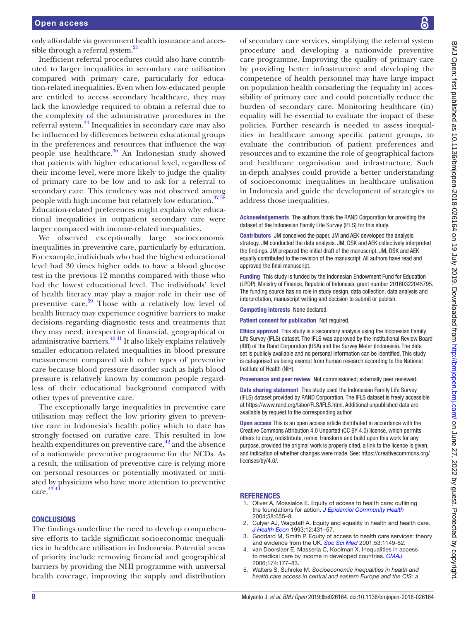only affordable via government health insurance and accessible through a referral system.<sup>21</sup>

Inefficient referral procedures could also have contributed to larger inequalities in secondary care utilisation compared with primary care, particularly for education-related inequalities. Even when low-educated people are entitled to access secondary healthcare, they may lack the knowledge required to obtain a referral due to the complexity of the administrative procedures in the referral system[.34](#page-8-22) Inequalities in secondary care may also be influenced by differences between educational groups in the preferences and resources that influence the way people use healthcare.<sup>36</sup> An Indonesian study showed that patients with higher educational level, regardless of their income level, were more likely to judge the quality of primary care to be low and to ask for a referral to secondary care. This tendency was not observed among people with high income but relatively low education.<sup>3738</sup> Education-related preferences might explain why educational inequalities in outpatient secondary care were larger compared with income-related inequalities.

We observed exceptionally large socioeconomic inequalities in preventive care, particularly by education. For example, individuals who had the highest educational level had 30 times higher odds to have a blood glucose test in the previous 12 months compared with those who had the lowest educational level. The individuals' level of health literacy may play a major role in their use of preventive care.<sup>39</sup> Those with a relatively low level of health literacy may experience cognitive barriers to make decisions regarding diagnostic tests and treatments that they may need, irrespective of financial, geographical or administrative barriers.[40 41](#page-8-26) It also likely explains relatively smaller education-related inequalities in blood pressure measurement compared with other types of preventive care because blood pressure disorder such as high blood pressure is relatively known by common people regardless of their educational background compared with other types of preventive care.

The exceptionally large inequalities in preventive care utilisation may reflect the low priority given to preventive care in Indonesia's health policy which to date has strongly focused on curative care. This resulted in low health expenditures on preventive care,  $^{42}$  and the absence of a nationwide preventive programme for the NCDs. As a result, the utilisation of preventive care is relying more on personal resources or potentially motivated or initiated by physicians who have more attention to preventive care. [43 44](#page-8-28)

# **CONCLUSIONS**

The findings underline the need to develop comprehensive efforts to tackle significant socioeconomic inequalities in healthcare utilisation in Indonesia. Potential areas of priority include removing financial and geographical barriers by providing the NHI programme with universal health coverage, improving the supply and distribution

of secondary care services, simplifying the referral system procedure and developing a nationwide preventive care programme. Improving the quality of primary care by providing better infrastructure and developing the competence of health personnel may have large impact on population health considering the (equality in) accessibility of primary care and could potentially reduce the burden of secondary care. Monitoring healthcare (in) equality will be essential to evaluate the impact of these policies. Further research is needed to assess inequalities in healthcare among specific patient groups, to evaluate the contribution of patient preferences and resources and to examine the role of geographical factors and healthcare organisation and infrastructure. Such in-depth analyses could provide a better understanding of socioeconomic inequalities in healthcare utilisation in Indonesia and guide the development of strategies to address those inequalities.

Acknowledgements The authors thank the RAND Corporation for providing the dataset of the Indonesian Family Life Survey (IFLS) for this study.

Contributors JM conceived the paper. JM and AEK developed the analysis strategy. JM conducted the data analysis. JM, DSK and AEK collectively interpreted the findings. JM prepared the initial draft of the manuscript. JM, DSK and AEK equally contributed to the revision of the manuscript. All authors have read and approved the final manuscript.

Funding This study is funded by the Indonesian Endowment Fund for Education (LPDP), Ministry of Finance, Republic of Indonesia, grant number 20160322045795. The funding source has no role in study design, data collection, data analysis and interpretation, manuscript writing and decision to submit or publish.

Competing interests None declared.

Patient consent for publication Not required.

Ethics approval This study is a secondary analysis using the Indonesian Family Life Survey (IFLS) dataset. The IFLS was approved by the Institutional Review Board (IRB) of the Rand Corporation (USA) and the Survey Meter (Indonesia). The data set is publicly available and no personal information can be identified. This study is categorised as being exempt from human research according to the National Institute of Health (NIH).

Provenance and peer review Not commissioned; externally peer reviewed.

Data sharing statement This study used the Indonesian Family Life Survey (IFLS) dataset provided by RAND Corporation. The IFLS dataset is freely accessible at <https://www.rand.org/labor/FLS/IFLS.html>. Additional unpublished data are available by request to the corresponding author.

Open access This is an open access article distributed in accordance with the Creative Commons Attribution 4.0 Unported (CC BY 4.0) license, which permits others to copy, redistribute, remix, transform and build upon this work for any purpose, provided the original work is properly cited, a link to the licence is given, and indication of whether changes were made. See: [https://creativecommons.org/](https://creativecommons.org/licenses/by/4.0/) [licenses/by/4.0/](https://creativecommons.org/licenses/by/4.0/).

#### **REFERENCES**

- <span id="page-7-0"></span>1. Oliver A, Mossialos E. Equity of access to health care: outlining the foundations for action. *[J Epidemiol Community Health](http://dx.doi.org/10.1136/jech.2003.017731)* 2004;58:655–8.
- <span id="page-7-1"></span>2. Culyer AJ, Wagstaff A. Equity and equality in health and health care. *[J Health Econ](http://dx.doi.org/10.1016/0167-6296(93)90004-X)* 1993;12:431–57.
- 3. Goddard M, Smith P. Equity of access to health care services: theory and evidence from the UK. *[Soc Sci Med](http://www.ncbi.nlm.nih.gov/pubmed/11556606)* 2001;53:1149-62.
- <span id="page-7-2"></span>4. van Doorslaer E, Masseria C, Koolman X. Inequalities in access to medical care by income in developed countries. *[CMAJ](http://dx.doi.org/10.1503/cmaj.050584)* 2006;174:177–83.
- <span id="page-7-3"></span>5. Walters S, Suhrcke M. *Socioeconomic inequalities in health and health care access in central and eastern Europe and the CIS: a*